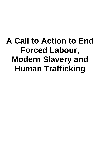## **A Call to Action to End Forced Labour, Modern Slavery and Human Trafficking**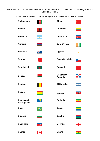This Call to Action<sup>1</sup> was launched on the 19<sup>th</sup> September 2017 during the 72<sup>nd</sup> Meeting of the UN General Assembly.

It has been endorsed by the following Member States and Observer States:

| Afghanistan                      |            | China                               |                          |
|----------------------------------|------------|-------------------------------------|--------------------------|
| <b>Albania</b>                   |            | Colombia                            |                          |
| <b>Argentina</b>                 | ۰          | <b>Costa Rica</b>                   | $\bullet$                |
| <b>Armenia</b>                   |            | Côte D'Ivoire                       |                          |
| <b>Australia</b>                 | त्रूह्मद   | <b>Cyprus</b>                       | $\blacktriangledown$     |
| <b>Bahrain</b>                   |            | <b>Czech Republic</b>               |                          |
| <b>Bangladesh</b>                |            | <b>Denmark</b>                      |                          |
| <b>Belarus</b>                   |            | <b>Dominican</b><br><b>Republic</b> | Ã.                       |
| <b>Belgium</b>                   |            | <b>El Salvador</b>                  | $\mathbf{Q}$             |
| <b>Bolivia</b>                   | <b>tär</b> | eSwatini                            | $\Rightarrow$            |
| <b>Bosnia and</b><br>Herzegovina |            | <b>Ethiopia</b>                     |                          |
| <b>Brazil</b>                    |            | Gabon                               |                          |
| <b>Bulgaria</b>                  |            | Gambia                              |                          |
| Cambodia                         |            | Georgia                             | 4.<br>÷                  |
| <b>Canada</b>                    | <b>No.</b> | Ghana                               | $\overline{\phantom{a}}$ |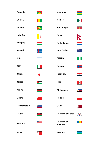| Grenada         |                                   | <b>Mauritius</b>                     |       |
|-----------------|-----------------------------------|--------------------------------------|-------|
| <b>Guinea</b>   |                                   | <b>Mexico</b>                        |       |
| Guyana          |                                   | <b>Montenegro</b>                    | 夔     |
| <b>Holy See</b> | 孝                                 | <b>Nepal</b>                         |       |
| <b>Hungary</b>  |                                   | <b>Netherlands</b>                   |       |
| <b>Iceland</b>  |                                   | <b>New Zealand</b>                   | XK.   |
| <b>Israel</b>   | ✿                                 | Nigeria                              |       |
| <b>Italy</b>    |                                   | Norway                               |       |
| Japan           |                                   | <b>Paraguay</b>                      | $-88$ |
| Jordan          |                                   | Peru                                 | 6     |
| Kenya           |                                   | <b>Philippines</b>                   |       |
| Liberia         |                                   | <b>Poland</b>                        |       |
| Liechtenstein   | $\frac{d\mathbf{r}}{d\mathbf{r}}$ | Qatar                                |       |
| <b>Malawi</b>   |                                   | <b>Republic of Korea</b>             |       |
| <b>Malaysia</b> |                                   | <b>Republic of</b><br><b>Moldova</b> | 願     |
| <b>Malta</b>    | ↔                                 | Rwanda                               |       |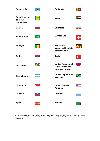| <b>Saint Lucia</b>                                   |               | <b>Sri Lanka</b>                                                                |                |
|------------------------------------------------------|---------------|---------------------------------------------------------------------------------|----------------|
| <b>Saint Vincent</b><br>and The<br><b>Grenadines</b> |               | <b>Sudan</b>                                                                    |                |
| <b>Samoa</b>                                         | $\frac{1}{2}$ | <b>Suriname</b>                                                                 |                |
| Saudi Arabia                                         | <b>###</b>    | <b>Switzerland</b>                                                              | ╋              |
| Senegal                                              |               | The former<br><b>Yugoslav Republic</b><br>of Macedonia                          |                |
| <b>Serbia</b>                                        | 尊一            | <b>Turkey</b>                                                                   | $\mathbf{C}^*$ |
| <b>Seychelles</b>                                    |               | <b>United Kingdom of</b><br><b>Great Britain and</b><br><b>Northern Ireland</b> |                |
| <b>Sierra Leone</b>                                  |               | <b>United Republic of</b><br><b>Tanzania</b>                                    |                |
| <b>Singapore</b>                                     | G÷            | <b>United States of</b><br><b>America</b>                                       |                |
| <b>Slovakia</b>                                      | 阒             | <b>Uruguay</b>                                                                  |                |
| <b>Spain</b>                                         | 玁             | Zambia                                                                          |                |

1 This Call to Action is not legally binding and does not affect the states' existing obligations under applicable international and domestic law, but rather reflects the political commitments of the states represented.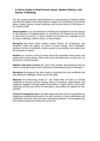## **A Call to Action to End Forced Labour, Modern Slavery, and Human Trafficking**

*We, the Leaders (and their representatives) of a diverse group of Member States and Observer States to the United Nations, united in our commitment to end forced labour, modern slavery, human trafficking, and the worst forms of child labour in our world by 2030;*

*Stand together in our commitment to combating the exploitation of human beings for the purposes of compelled labour or commercial sex through the use of force or other forms of coercion, or fraud, whether we describe this compelled service as human trafficking, modern slavery, or forced labour.*

*Recognise that these crimes respect neither borders nor jurisdictions, and recognise neither the dignity nor worth of human beings. Such exploitation destroys the lives of individuals, erodes security in communities, and undermines the prosperity of nations.* 

*Reaffirm our resolve to bring to justice those who perpetrate these crimes and exploit other human beings, often at the most vulnerable points in their lives, for personal or commercial gain.*

*Register with grave concern the scale of the problem and emphasise that we need to accelerate action at both national and international levels to eliminate it.*

*Recognise that progress has been made in countering this issue worldwide; but that significant challenges remain across the globe.*

*Welcome the forthcoming review of the Global Plan of Action to Combat Trafficking in Persons and the ongoing efforts of institutions, organisations, and coalitions engaged in the fight against forced labour, modern slavery, and human trafficking, and the worst forms of child labour; and reaffirm our support for their activities.*

*Commit to leading the way in the fight against all these forms of exploitation by stepping up complementary action in our own countries, in close collaboration and cooperation with each other and other international partners, so that together we can end these abhorrent crimes once and for all.*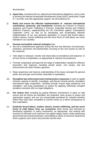We therefore:

- **1. Agree that,** consistent with our national and international obligations, and in order to achieve the relevant Sustainable Development Goals (SDG), particularly Target 8.7, by 2030, and with appropriate support, we will endeavour to:
- (i) **Ratify and ensure the effective implementation of relevant international conventions, protocols, and frameworks** including the Protocol to Prevent, Suppress and Punish Trafficking in Persons, Especially Women and Children (Palermo Protocol), supplementing the UN Convention against Transnational Organized Crime, as well as by developing and accelerating effective implementation of our own domestic legislation; to ensure that forced labour, modern slavery, human trafficking and the worst forms of child labour are never tolerated in our societies.

## (ii) **Develop and publish national strategies** that:

- o Set out a comprehensive approach across the four key elements of prosecution, protection, prevention and partnerships; focusing on the root causes as well as the response;
- o Take steps to measure, monitor and share data on prevalence and response to all such forms of exploitation, as appropriate to national circumstances;
- o Promote cooperation amongst the full range of stakeholders needed for effective prevention and response; including private sector, civil society, and law enforcement and other frontline agencies;
- o Raise awareness and improve understanding of the issues amongst the general public and amongst communities vulnerable to exploitation.
- (iii) **Strengthen law enforcement and criminal justice responses** in order to rapidly enhance capacity to identify, investigate, and disrupt criminal activity; strengthen international legal cooperation, including through mutual legal assistance and extradition; and bring perpetrators to justice by applying sufficiently stringent penalties consistent with our legal obligations.
- (iv) **Put victims first,** including by putting effective mechanisms in place to help ensure that all victims are identified, are protected, have access to justice and appropriate support; and are not unreasonably penalised for unlawful activities where they have been compelled to commit crimes as a direct consequence of their exploitation.
- (v) **Eradicate forced labour, modern slavery, human trafficking, and the worst forms of child labour from our economies** (both formal and informal) by developing regulatory or policy frameworks, as appropriate, and working with business to eliminate such practices from global supply chains; whilst addressing government procurement practices, and building a culture of consumer awareness which supports such action and promotes decent work.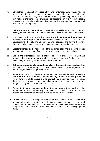- (vi) **Strengthen cooperation regionally and internationally** including, as appropriate: facilitating better data-sharing; supporting international legal cooperation during investigations and prosecutions; preventing safe havens for criminals; exchanging best practices; collaborating on victim identification, protection, reintegration and repatriation; and providing appropriate technical and financial support to partners.
	- **2. Call for enhanced international cooperation** to tackle forced labour, modern slavery, human trafficking, and the worst forms of child labour, and in particular:
- (i) The **United Nations to make this issue a priority across its three pillars of security, human rights, and development**, drawing in particular on its role as Secretariat for the relevant Conventions and Protocols, and for the Secretary General to take a leading role in improving the coherence of the response.
- (ii) Greater emphasis on the need to **build the evidence base** and to promote greater transparency and sharing of data between institutions and organisations.
- (iii) Donors and International Financial Institutions (IFIs) to enhance cooperation and **address the resourcing gap**, and build capacity for an effective response; including by leveraging resources from the Private Sector.
- (iv) **Enhanced international cooperation on law enforcement** responses to end the impunity of criminal groups, including transnational criminal organizations, individuals, and complicit government officials.
- (v) Increased focus and cooperation on the measures that can be taken to **reduce the drivers of forced labour, modern slavery, human trafficking, and the worst forms of child labour and to protect the most vulnerabl**e; including those affected by conflict and humanitarian situations, people on the move, marginalised groups, and women and children.
- (vi) **Ensure that victims can access the restorative support they need**, including through better victim safeguarding coordination to connect victims to appropriate support and reintegration services to reduce the risk of re-exploitation.
	- **3. Commit** to assess our progress towards the achievement of these aims in a transparent manner; including by publishing our national strategies or relevant progress reports annually, and by reporting on progress towards achieving SDG Target 8.7 as part of the wider follow-up and review process for achieving Agenda 2030.